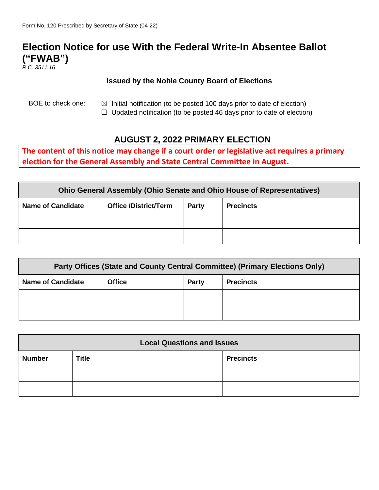# **Election Notice for use With the Federal Write-In Absentee Ballot ("FWAB")**

*R.C. 3511.16*

#### **Issued by the Noble County Board of Elections**

BOE to check one:  $\boxtimes$  Initial notification (to be posted 100 days prior to date of election)

 $\Box$  Updated notification (to be posted 46 days prior to date of election)

## **AUGUST 2, 2022 PRIMARY ELECTION**

**The content of this notice may change if a court order or legislative act requires a primary election for the General Assembly and State Central Committee in August.**

| <b>Ohio General Assembly (Ohio Senate and Ohio House of Representatives)</b> |                              |       |                  |  |  |
|------------------------------------------------------------------------------|------------------------------|-------|------------------|--|--|
| <b>Name of Candidate</b>                                                     | <b>Office /District/Term</b> | Party | <b>Precincts</b> |  |  |
|                                                                              |                              |       |                  |  |  |
|                                                                              |                              |       |                  |  |  |

| Party Offices (State and County Central Committee) (Primary Elections Only) |               |       |                  |  |  |
|-----------------------------------------------------------------------------|---------------|-------|------------------|--|--|
| <b>Name of Candidate</b>                                                    | <b>Office</b> | Party | <b>Precincts</b> |  |  |
|                                                                             |               |       |                  |  |  |
|                                                                             |               |       |                  |  |  |

| <b>Local Questions and Issues</b> |              |                  |  |  |
|-----------------------------------|--------------|------------------|--|--|
| <b>Number</b>                     | <b>Title</b> | <b>Precincts</b> |  |  |
|                                   |              |                  |  |  |
|                                   |              |                  |  |  |